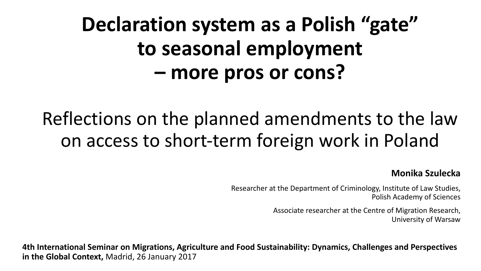## **Declaration system as a Polish "gate"** to seasonal employment **– more pros or cons?**

### Reflections on the planned amendments to the law on access to short-term foreign work in Poland

#### **Monika Szulecka**

Researcher at the Department of Criminology, Institute of Law Studies, Polish Academy of Sciences

> Associate researcher at the Centre of Migration Research, University of Warsaw

**4th International Seminar on Migrations, Agriculture and Food Sustainability: Dynamics, Challenges and Perspectives in the Global Context, Madrid, 26 January 2017**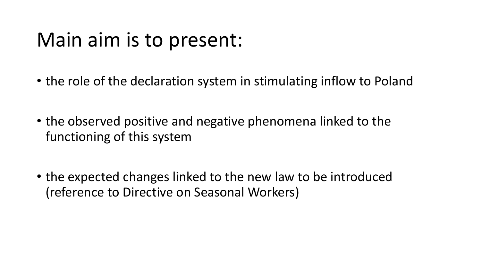## Main aim is to present:

- the role of the declaration system in stimulating inflow to Poland
- the observed positive and negative phenomena linked to the functioning of this system
- the expected changes linked to the new law to be introduced (reference to Directive on Seasonal Workers)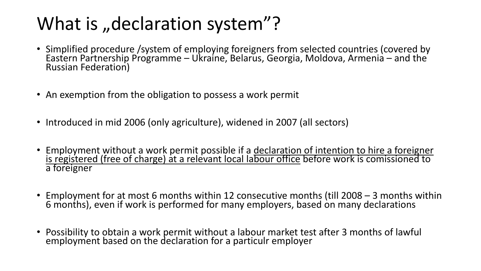### What is "declaration system"?

- Simplified procedure /system of employing foreigners from selected countries (covered by Eastern Partnership Programme – Ukraine, Belarus, Georgia, Moldova, Armenia – and the Russian Federation)
- An exemption from the obligation to possess a work permit
- Introduced in mid 2006 (only agriculture), widened in 2007 (all sectors)
- Employment without a work permit possible if a declaration of intention to hire a foreigner <u>is registered (free of charge) at a relevant local labour office</u> before work is comissioned to a foreigner
- Employment for at most 6 months within 12 consecutive months (till 2008 3 months within 6 months), even if work is performed for many employers, based on many declarations
- Possibility to obtain a work permit without a labour market test after 3 months of lawful employment based on the declaration for a particulr employer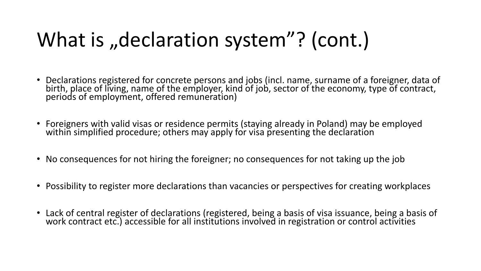## What is "declaration system"? (cont.)

- Declarations registered for concrete persons and jobs (incl. name, surname of a foreigner, data of birth, place of living, name of the employer, kind of job, sector of the economy, type of contract, periods of employment, offered remuneration)
- Foreigners with valid visas or residence permits (staying already in Poland) may be employed within simplified procedure; others may apply for visa presenting the declaration
- No consequences for not hiring the foreigner; no consequences for not taking up the job
- Possibility to register more declarations than vacancies or perspectives for creating workplaces
- Lack of central register of declarations (registered, being a basis of visa issuance, being a basis of work contract etc.) accessible for all institutions involved in registration or control activities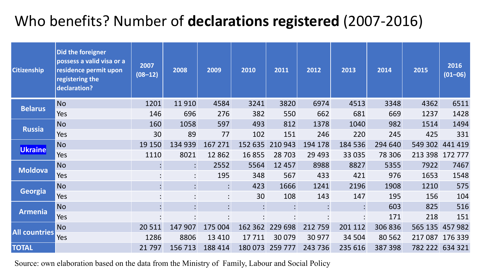#### Who benefits? Number of **declarations registered** (2007-2016)

| <b>Citizenship</b>   | Did the foreigner<br>possess a valid visa or a<br>residence permit upon<br>registering the<br>declaration? | 2007<br>$(08 - 12)$    | 2008           | 2009    | 2010      | 2011            | 2012    | 2013           | 2014    | 2015    | 2016<br>$(01 - 06)$ |
|----------------------|------------------------------------------------------------------------------------------------------------|------------------------|----------------|---------|-----------|-----------------|---------|----------------|---------|---------|---------------------|
|                      | <b>No</b>                                                                                                  | 1201                   | 11910          | 4584    | 3241      | 3820            | 6974    | 4513           | 3348    | 4362    | 6511                |
| <b>Belarus</b>       | Yes                                                                                                        | 146                    | 696            | 276     | 382       | 550             | 662     | 681            | 669     | 1237    | 1428                |
|                      | <b>No</b>                                                                                                  | 160                    | 1058           | 597     | 493       | 812             | 1378    | 1040           | 982     | 1514    | 1494                |
| <b>Russia</b>        | Yes                                                                                                        | 30                     | 89             | 77      | 102       | 151             | 246     | 220            | 245     | 425     | 331                 |
| Ukraine              | <b>No</b>                                                                                                  | 19 150                 | 134 939        | 167 271 | 152 635   | 210 943         | 194 178 | 184 536        | 294 640 | 549 302 | 441 419             |
|                      | Yes                                                                                                        | 1110                   | 8021           | 12 8 62 | 16 8 55   | 28 703          | 29 4 93 | 33 035         | 78 306  | 213 398 | 172777              |
| <b>Moldova</b>       | <b>No</b>                                                                                                  | $\ddot{\cdot}$         | $\mathbf{C}$   | 2552    | 5564      | 12 457          | 8988    | 8827           | 5355    | 7922    | 7467                |
|                      | Yes                                                                                                        | $\bullet$              | $\ddot{\cdot}$ | 195     | 348       | 567             | 433     | 421            | 976     | 1653    | 1548                |
|                      | <b>No</b>                                                                                                  | $\bullet$<br>$\bullet$ | $\mathbf{L}$   |         | 423       | 1666            | 1241    | 2196           | 1908    | 1210    | 575                 |
| <b>Georgia</b>       | Yes                                                                                                        | $\bullet$              | $\bullet$      |         | 30        | 108             | 143     | 147            | 195     | 156     | 104                 |
| <b>Armenia</b>       | <b>No</b>                                                                                                  | $\vdots$               | $\mathbf{L}$   |         |           | $\bullet$       |         | $\bullet$      | 603     | 825     | 516                 |
|                      | Yes                                                                                                        | $\bullet$<br>$\cdot$   | $\bullet$      |         | $\bullet$ |                 |         | $\ddot{\cdot}$ | 171     | 218     | 151                 |
| <b>All countries</b> | <b>No</b>                                                                                                  | 20511                  | 147 907        | 175 004 | 162 362   | 229 698         | 212 759 | 201 112        | 306 836 | 565 135 | 457982              |
|                      | Yes                                                                                                        | 1286                   | 8806           | 13 4 10 | 17711     | 30 0 79         | 30 977  | 34 504         | 80 562  | 217 087 | 176 339             |
| <b>TOTAL</b>         |                                                                                                            | 21797                  | 156 713        | 188 414 |           | 180 073 259 777 | 243 736 | 235 616        | 387 398 |         | 782 222 634 321     |

Source: own elaboration based on the data from the Ministry of Family, Labour and Social Policy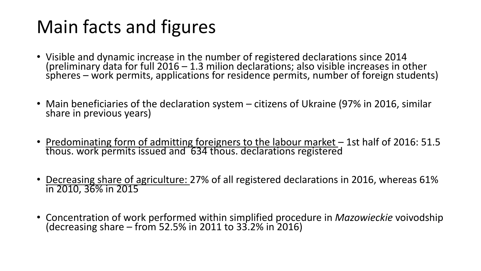## Main facts and figures

- Visible and dynamic increase in the number of registered declarations since 2014 (preliminary data for full 2016 – 1.3 milion declarations; also visible increases in other  $s$  pheres – work permits, applications for residence permits, number of foreign students)
- Main beneficiaries of the declaration system citizens of Ukraine (97% in 2016, similar share in previous years)
- Predominating form of admitting foreigners to the labour market 1st half of 2016: 51.5 thous. work permits issued and '634 thous. declarations registered
- Decreasing share of agriculture: 27% of all registered declarations in 2016, whereas 61% in 2010, 36% in 2015
- Concentration of work performed within simplified procedure in *Mazowieckie* voivodship (decreasing share from 52.5% in 2011 to 33.2% in 2016)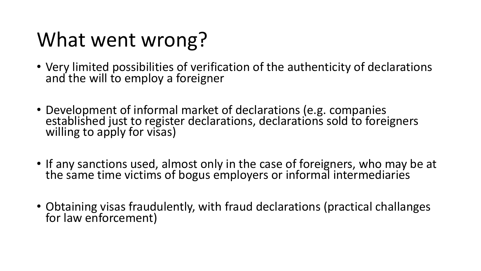## What went wrong?

- Very limited possibilities of verification of the authenticity of declarations and the will to employ a foreigner
- Development of informal market of declarations (e.g. companies<br>established just to register declarations, declarations sold to foreigners<br>willing to apply for visas)
- If any sanctions used, almost only in the case of foreigners, who may be at the same time victims of bogus employers or informal intermediaries
- Obtaining visas fraudulently, with fraud declarations (practical challanges for law enforcement)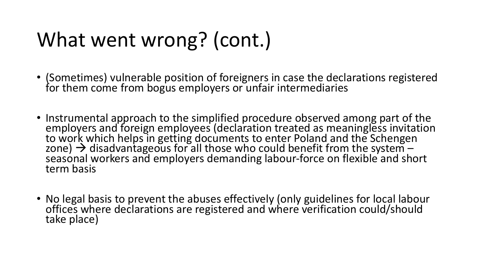## What went wrong? (cont.)

- (Sometimes) vulnerable position of foreigners in case the declarations registered for them come from bogus employers or unfair intermediaries
- Instrumental approach to the simplified procedure observed among part of the<br>employers and foreign employees (declaration treated as meaningless invitation to work which helps in getting documents to enter Poland and the Schengen zone)  $\rightarrow$  disadvantageous for all those who could benefit from the system –<br>seasonal workers and employers demanding labour-force on flexible and short seasonal workers and employers demanding labour-force on flexible and short term basis
- No legal basis to prevent the abuses effectively (only guidelines for local labour offices where declarations are registered and where verification could/should take place)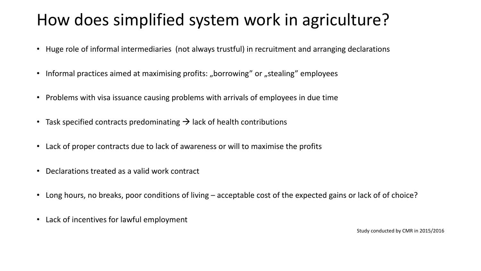#### How does simplified system work in agriculture?

- Huge role of informal intermediaries (not always trustful) in recruitment and arranging declarations
- Informal practices aimed at maximising profits: "borrowing" or "stealing" employees
- Problems with visa issuance causing problems with arrivals of employees in due time
- Task specified contracts predominating  $\rightarrow$  lack of health contributions
- Lack of proper contracts due to lack of awareness or will to maximise the profits
- Declarations treated as a valid work contract
- Long hours, no breaks, poor conditions of living acceptable cost of the expected gains or lack of of choice?
- Lack of incentives for lawful employment

Study conducted by CMR in 2015/2016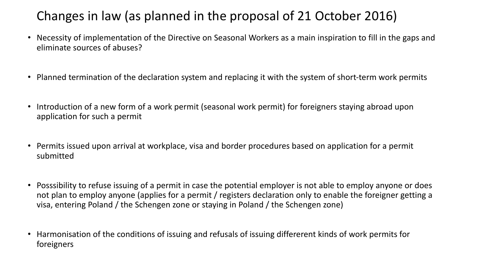#### Changes in law (as planned in the proposal of 21 October 2016)

- Necessity of implementation of the Directive on Seasonal Workers as a main inspiration to fill in the gaps and eliminate sources of abuses?
- Planned termination of the declaration system and replacing it with the system of short-term work permits
- Introduction of a new form of a work permit (seasonal work permit) for foreigners staying abroad upon application for such a permit
- Permits issued upon arrival at workplace, visa and border procedures based on application for a permit submitted
- Posssibility to refuse issuing of a permit in case the potential employer is not able to employ anyone or does not plan to employ anyone (applies for a permit / registers declaration only to enable the foreigner getting a visa, entering Poland / the Schengen zone or staying in Poland / the Schengen zone)
- Harmonisation of the conditions of issuing and refusals of issuing differerent kinds of work permits for foreigners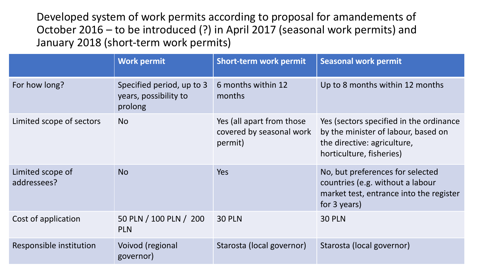Developed system of work permits according to proposal for amandements of October 2016 – to be introduced (?) in April 2017 (seasonal work permits) and January 2018 (short-term work permits)

|                                 | <b>Work permit</b>                                            | <b>Short-term work permit</b>                                    | <b>Seasonal work permit</b>                                                                                                               |
|---------------------------------|---------------------------------------------------------------|------------------------------------------------------------------|-------------------------------------------------------------------------------------------------------------------------------------------|
| For how long?                   | Specified period, up to 3<br>years, possibility to<br>prolong | 6 months within 12<br>months                                     | Up to 8 months within 12 months                                                                                                           |
| Limited scope of sectors        | <b>No</b>                                                     | Yes (all apart from those<br>covered by seasonal work<br>permit) | Yes (sectors specified in the ordinance<br>by the minister of labour, based on<br>the directive: agriculture,<br>horticulture, fisheries) |
| Limited scope of<br>addressees? | <b>No</b>                                                     | <b>Yes</b>                                                       | No, but preferences for selected<br>countries (e.g. without a labour<br>market test, entrance into the register<br>for 3 years)           |
| Cost of application             | 50 PLN / 100 PLN / 200<br><b>PLN</b>                          | <b>30 PLN</b>                                                    | <b>30 PLN</b>                                                                                                                             |
| Responsible institution         | Voivod (regional<br>governor)                                 | Starosta (local governor)                                        | Starosta (local governor)                                                                                                                 |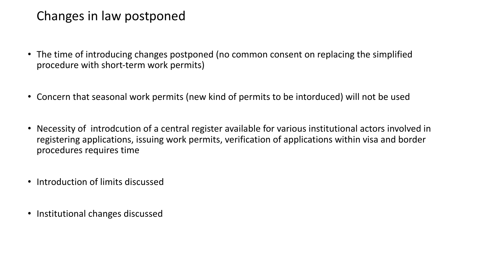#### Changes in law postponed

- The time of introducing changes postponed (no common consent on replacing the simplified procedure with short-term work permits)
- Concern that seasonal work permits (new kind of permits to be intorduced) will not be used
- Necessity of introdcution of a central register available for various institutional actors involved in registering applications, issuing work permits, verification of applications within visa and border procedures requires time
- Introduction of limits discussed
- Institutional changes discussed